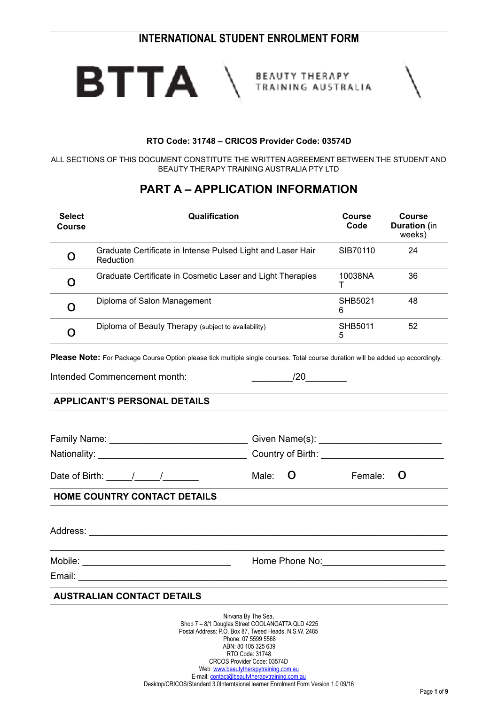

BEAUTY THERAPY<br>TRAINING AUSTRALIA

|--|

#### **RTO Code: 31748 – CRICOS Provider Code: 03574D**

ALL SECTIONS OF THIS DOCUMENT CONSTITUTE THE WRITTEN AGREEMENT BETWEEN THE STUDENT AND BEAUTY THERAPY TRAINING AUSTRALIA PTY LTD

# **PART A – APPLICATION INFORMATION**

| <b>Select</b><br><b>Course</b> | Qualification                                                                                                                          | Course<br>Code | <b>Course</b><br><b>Duration</b> (in<br>weeks) |
|--------------------------------|----------------------------------------------------------------------------------------------------------------------------------------|----------------|------------------------------------------------|
| O                              | Graduate Certificate in Intense Pulsed Light and Laser Hair<br>Reduction                                                               | SIB70110       | 24                                             |
| Õ                              | Graduate Certificate in Cosmetic Laser and Light Therapies                                                                             | 10038NA        | 36                                             |
| O                              | Diploma of Salon Management                                                                                                            | SHB5021<br>6   | 48                                             |
| O                              | Diploma of Beauty Therapy (subject to availability)                                                                                    | SHB5011<br>5   | 52                                             |
|                                | <b>Please Note:</b> For Package Course Option please tick multiple single courses. Total course duration will be added up accordingly. |                |                                                |

Intended Commencement month:  $/20$ 

## **APPLICANT'S PERSONAL DETAILS**

| Date of Birth: $\frac{1}{\sqrt{2}}$                                                                                                                                               | Male:                                                                                | $\bf{O}$ | Female: | O |
|-----------------------------------------------------------------------------------------------------------------------------------------------------------------------------------|--------------------------------------------------------------------------------------|----------|---------|---|
| <b>HOME COUNTRY CONTACT DETAILS</b>                                                                                                                                               |                                                                                      |          |         |   |
|                                                                                                                                                                                   |                                                                                      |          |         |   |
|                                                                                                                                                                                   |                                                                                      |          |         |   |
| <b>AUSTRALIAN CONTACT DETAILS</b>                                                                                                                                                 |                                                                                      |          |         |   |
| Shop 7 - 8/1 Douglas Street COOLANGATTA QLD 4225<br>Postal Address: P.O. Box 87, Tweed Heads, N.S.W. 2485<br>CRCOS Provider Code: 03574D<br>Web: www.beautytherapytraining.com.au | Nirvana By The Sea.<br>Phone: 07 5599 5568<br>ABN: 80 105 325 639<br>RTO Code: 31748 |          |         |   |

E-mail: contact@beautytherapytraining.com.au Desktop/CRICOS/Standard 3.0Interntaional learner Enrolment Form Version 1.0 09/16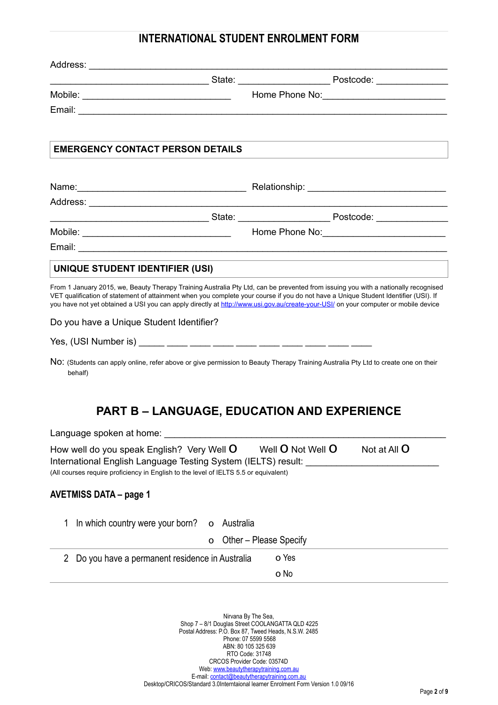| <b>EMERGENCY CONTACT PERSON DETAILS</b>                                                                                                                                                                                                                                                                                                                                                                         |                     |                        |                     |
|-----------------------------------------------------------------------------------------------------------------------------------------------------------------------------------------------------------------------------------------------------------------------------------------------------------------------------------------------------------------------------------------------------------------|---------------------|------------------------|---------------------|
|                                                                                                                                                                                                                                                                                                                                                                                                                 |                     |                        |                     |
|                                                                                                                                                                                                                                                                                                                                                                                                                 |                     |                        |                     |
|                                                                                                                                                                                                                                                                                                                                                                                                                 |                     |                        |                     |
|                                                                                                                                                                                                                                                                                                                                                                                                                 |                     |                        |                     |
|                                                                                                                                                                                                                                                                                                                                                                                                                 |                     |                        |                     |
| UNIQUE STUDENT IDENTIFIER (USI)                                                                                                                                                                                                                                                                                                                                                                                 |                     |                        |                     |
| From 1 January 2015, we, Beauty Therapy Training Australia Pty Ltd, can be prevented from issuing you with a nationally recognised<br>VET qualification of statement of attainment when you complete your course if you do not have a Unique Student Identifier (USI). If<br>you have not yet obtained a USI you can apply directly at http://www.usi.gov.au/create-your-USI/ on your computer or mobile device |                     |                        |                     |
| Do you have a Unique Student Identifier?                                                                                                                                                                                                                                                                                                                                                                        |                     |                        |                     |
|                                                                                                                                                                                                                                                                                                                                                                                                                 |                     |                        |                     |
|                                                                                                                                                                                                                                                                                                                                                                                                                 |                     |                        |                     |
| NO: (Students can apply online, refer above or give permission to Beauty Therapy Training Australia Pty Ltd to create one on their<br>behalf)                                                                                                                                                                                                                                                                   |                     |                        |                     |
| <b>PART B - LANGUAGE, EDUCATION AND EXPERIENCE</b>                                                                                                                                                                                                                                                                                                                                                              |                     |                        |                     |
| Language spoken at home:                                                                                                                                                                                                                                                                                                                                                                                        |                     |                        |                     |
|                                                                                                                                                                                                                                                                                                                                                                                                                 |                     | Well O Not Well O      | Not at All <b>O</b> |
| How well do you speak English? Very Well $O$<br>International English Language Testing System (IELTS) result: ____<br>(All courses require proficiency in English to the level of IELTS 5.5 or equivalent)<br><b>AVETMISS DATA - page 1</b>                                                                                                                                                                     |                     |                        |                     |
| In which country were your born?<br>1                                                                                                                                                                                                                                                                                                                                                                           | Australia<br>O<br>o | Other – Please Specify |                     |
| Do you have a permanent residence in Australia<br>$\overline{2}$                                                                                                                                                                                                                                                                                                                                                |                     | o Yes                  |                     |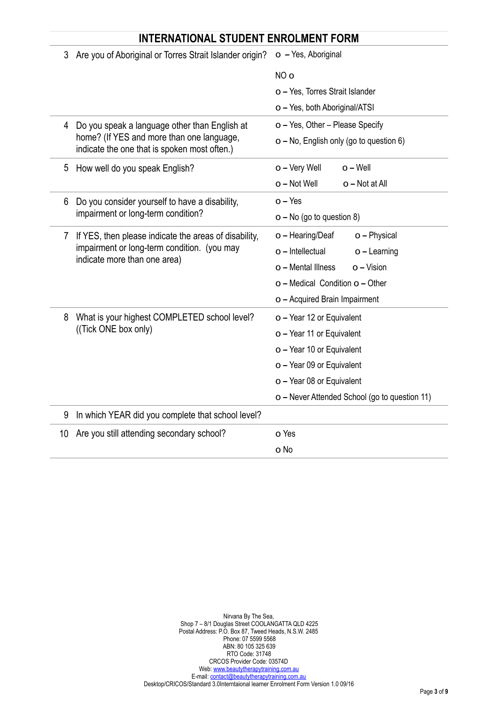|            | <b>INTERNATIONAL STUDENT ENROLMENT FORM</b>                                                                                          |                                               |  |
|------------|--------------------------------------------------------------------------------------------------------------------------------------|-----------------------------------------------|--|
| 3          | Are you of Aboriginal or Torres Strait Islander origin?                                                                              | o - Yes, Aboriginal                           |  |
|            |                                                                                                                                      | NO <sub>o</sub>                               |  |
|            |                                                                                                                                      | o - Yes, Torres Strait Islander               |  |
|            |                                                                                                                                      | o - Yes, both Aboriginal/ATSI                 |  |
| 4          | Do you speak a language other than English at                                                                                        | o - Yes, Other - Please Specify               |  |
|            | home? (If YES and more than one language,<br>indicate the one that is spoken most often.)                                            | o - No, English only (go to question 6)       |  |
| 5          | How well do you speak English?                                                                                                       | o - Very Well<br>$o - Well$                   |  |
|            |                                                                                                                                      | $o$ – Not Well<br>o - Not at All              |  |
| 6          | Do you consider yourself to have a disability,                                                                                       | $o - Yes$                                     |  |
|            | impairment or long-term condition?                                                                                                   | $o$ – No (go to question 8)                   |  |
| $\sqrt{2}$ | If YES, then please indicate the areas of disability,<br>impairment or long-term condition. (you may<br>indicate more than one area) | o - Physical<br>o - Hearing/Deaf              |  |
|            |                                                                                                                                      | o - Intellectual<br>$o$ – Learning            |  |
|            |                                                                                                                                      | o - Mental Illness<br>$o$ – Vision            |  |
|            |                                                                                                                                      | o - Medical Condition o - Other               |  |
|            |                                                                                                                                      | o - Acquired Brain Impairment                 |  |
| 8          | What is your highest COMPLETED school level?                                                                                         | o - Year 12 or Equivalent                     |  |
|            | ((Tick ONE box only)                                                                                                                 | o - Year 11 or Equivalent                     |  |
|            |                                                                                                                                      | o - Year 10 or Equivalent                     |  |
|            |                                                                                                                                      | o - Year 09 or Equivalent                     |  |
|            |                                                                                                                                      | o - Year 08 or Equivalent                     |  |
|            |                                                                                                                                      | o - Never Attended School (go to question 11) |  |
| 9          | In which YEAR did you complete that school level?                                                                                    |                                               |  |
| 10         | Are you still attending secondary school?                                                                                            | o Yes                                         |  |
|            |                                                                                                                                      | o No                                          |  |

 Phone: 07 5599 5568 ABN: 80 105 325 639 RTO Code: 31748 CRCOS Provider Code: 03574D Web: [www.beautytherapytraining.com.au](http://www.beautytherapytraining.com.au) E-mail: contact@beautytherapytraining.com.au Desktop/CRICOS/Standard 3.0Interntaional learner Enrolment Form Version 1.0 09/16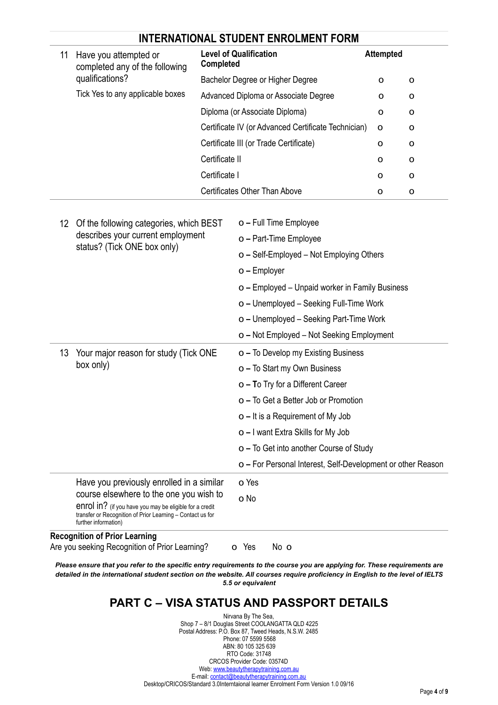| 11<br>Have you attempted or<br>completed any of the following |                                                                                                                                               | <b>Level of Qualification</b><br><b>Completed</b>                                                                                                                                                          |                                                             | <b>Attempted</b> |   |  |
|---------------------------------------------------------------|-----------------------------------------------------------------------------------------------------------------------------------------------|------------------------------------------------------------------------------------------------------------------------------------------------------------------------------------------------------------|-------------------------------------------------------------|------------------|---|--|
|                                                               | qualifications?                                                                                                                               | Bachelor Degree or Higher Degree                                                                                                                                                                           |                                                             | 0                | o |  |
|                                                               | Tick Yes to any applicable boxes                                                                                                              | Advanced Diploma or Associate Degree<br>Diploma (or Associate Diploma)<br>Certificate IV (or Advanced Certificate Technician)<br>Certificate III (or Trade Certificate)<br>Certificate II<br>Certificate I |                                                             | o                | o |  |
|                                                               |                                                                                                                                               |                                                                                                                                                                                                            |                                                             | O                | o |  |
|                                                               |                                                                                                                                               |                                                                                                                                                                                                            |                                                             | O                | O |  |
|                                                               |                                                                                                                                               |                                                                                                                                                                                                            |                                                             | 0                | O |  |
|                                                               |                                                                                                                                               |                                                                                                                                                                                                            |                                                             | 0                | O |  |
|                                                               |                                                                                                                                               |                                                                                                                                                                                                            |                                                             | 0                | O |  |
|                                                               |                                                                                                                                               |                                                                                                                                                                                                            | <b>Certificates Other Than Above</b>                        | O                | O |  |
|                                                               |                                                                                                                                               |                                                                                                                                                                                                            |                                                             |                  |   |  |
| 12 <sup>°</sup>                                               | Of the following categories, which BEST                                                                                                       |                                                                                                                                                                                                            | o - Full Time Employee                                      |                  |   |  |
|                                                               | describes your current employment<br>status? (Tick ONE box only)                                                                              |                                                                                                                                                                                                            | o - Part-Time Employee                                      |                  |   |  |
|                                                               |                                                                                                                                               |                                                                                                                                                                                                            | o - Self-Employed - Not Employing Others                    |                  |   |  |
|                                                               |                                                                                                                                               |                                                                                                                                                                                                            | o - Employer                                                |                  |   |  |
|                                                               |                                                                                                                                               |                                                                                                                                                                                                            | o - Employed - Unpaid worker in Family Business             |                  |   |  |
|                                                               |                                                                                                                                               | o - Unemployed - Seeking Full-Time Work<br>o - Unemployed - Seeking Part-Time Work                                                                                                                         |                                                             |                  |   |  |
|                                                               |                                                                                                                                               |                                                                                                                                                                                                            |                                                             |                  |   |  |
|                                                               |                                                                                                                                               |                                                                                                                                                                                                            | o - Not Employed - Not Seeking Employment                   |                  |   |  |
| 13                                                            | Your major reason for study (Tick ONE                                                                                                         |                                                                                                                                                                                                            | o - To Develop my Existing Business                         |                  |   |  |
|                                                               | box only)                                                                                                                                     | o - To Start my Own Business                                                                                                                                                                               |                                                             |                  |   |  |
|                                                               |                                                                                                                                               | o - To Try for a Different Career                                                                                                                                                                          |                                                             |                  |   |  |
|                                                               |                                                                                                                                               | o - To Get a Better Job or Promotion                                                                                                                                                                       |                                                             |                  |   |  |
|                                                               |                                                                                                                                               |                                                                                                                                                                                                            | $o$ – It is a Requirement of My Job                         |                  |   |  |
|                                                               |                                                                                                                                               |                                                                                                                                                                                                            | o - I want Extra Skills for My Job                          |                  |   |  |
|                                                               |                                                                                                                                               |                                                                                                                                                                                                            | o – To Get into another Course of Study                     |                  |   |  |
|                                                               |                                                                                                                                               |                                                                                                                                                                                                            | o - For Personal Interest, Self-Development or other Reason |                  |   |  |
|                                                               | Have you previously enrolled in a similar                                                                                                     |                                                                                                                                                                                                            | o Yes                                                       |                  |   |  |
|                                                               | course elsewhere to the one you wish to                                                                                                       |                                                                                                                                                                                                            | o No                                                        |                  |   |  |
|                                                               | enrol in? (if you have you may be eligible for a credit<br>transfer or Recognition of Prior Learning - Contact us for<br>further information) |                                                                                                                                                                                                            |                                                             |                  |   |  |
|                                                               | <b>Recognition of Prior Learning</b><br>Are you seeking Recognition of Prior Learning?                                                        |                                                                                                                                                                                                            | No o<br>o Yes                                               |                  |   |  |

*Please ensure that you refer to the specific entry requirements to the course you are applying for. These requirements are detailed in the international student section on the website. All courses require proficiency in English to the level of IELTS 5.5 or equivalent* 

# **PART C – VISA STATUS AND PASSPORT DETAILS**

Nirvana By The Sea, Shop 7 – 8/1 Douglas Street COOLANGATTA QLD 4225 Postal Address: P.O. Box 87, Tweed Heads, N.S.W. 2485 Phone: 07 5599 5568 ABN: 80 105 325 639 RTO Code: 31748 CRCOS Provider Code: 03574D Web: [www.beautytherapytraining.com.au](http://www.beautytherapytraining.com.au) E-mail: contact@beautytherapytraining.com.au Desktop/CRICOS/Standard 3.0Interntaional learner Enrolment Form Version 1.0 09/16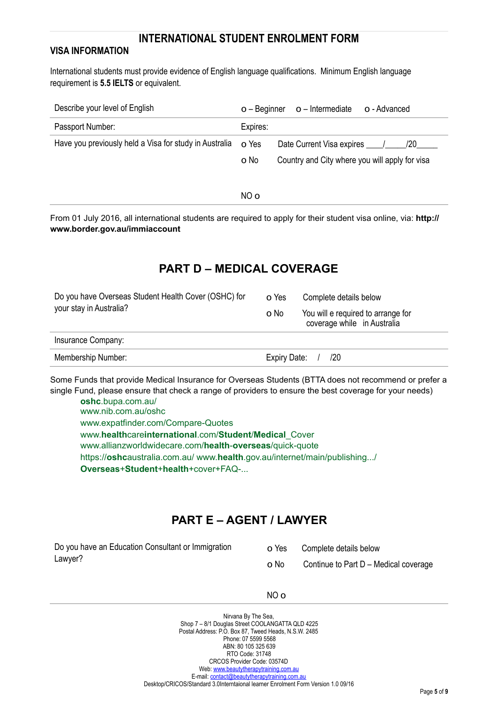### **VISA INFORMATION**

International students must provide evidence of English language qualifications. Minimum English language requirement is **5.5 IELTS** or equivalent.

| Describe your level of English                               | o – Beginner | $o$ – Intermediate<br>o - Advanced             |
|--------------------------------------------------------------|--------------|------------------------------------------------|
| Passport Number:                                             | Expires:     |                                                |
| Have you previously held a Visa for study in Australia o Yes |              | Date Current Visa expires<br>/20               |
|                                                              | o No         | Country and City where you will apply for visa |
|                                                              |              |                                                |

NO o

From 01 July 2016, all international students are required to apply for their student visa online, via: **http:// www.border.gov.au/immiaccount**

## **PART D – MEDICAL COVERAGE**

| Do you have Overseas Student Health Cover (OSHC) for<br>your stay in Australia? | o Yes                                                                     | Complete details below |  |
|---------------------------------------------------------------------------------|---------------------------------------------------------------------------|------------------------|--|
|                                                                                 | You will e required to arrange for<br>o No<br>coverage while in Australia |                        |  |
| Insurance Company:                                                              |                                                                           |                        |  |
| Membership Number:                                                              | Expiry Date:                                                              | /20                    |  |

Some Funds that provide Medical Insurance for Overseas Students (BTTA does not recommend or prefer a single Fund, please ensure that check a range of providers to ensure the best coverage for your needs)

**oshc**.bupa.com.au/ www.nib.com.au/oshc www.expatfinder.com/Compare-Quotes www.**health**care**international**.com/**Student**/**Medical**\_Cover www.allianzworldwidecare.com/**health**-**overseas**/quick-quote https://**oshc**australia.com.au/ www.**health**.gov.au/internet/main/publishing.../ **Overseas**+**Student**+**health**+cover+FAQ-...

# **PART E – AGENT / LAWYER**

| Do you have an Education Consultant or Immigration | o Yes | Complete details below                |
|----------------------------------------------------|-------|---------------------------------------|
| Lawyer?                                            | o No  | Continue to Part D - Medical coverage |

NO o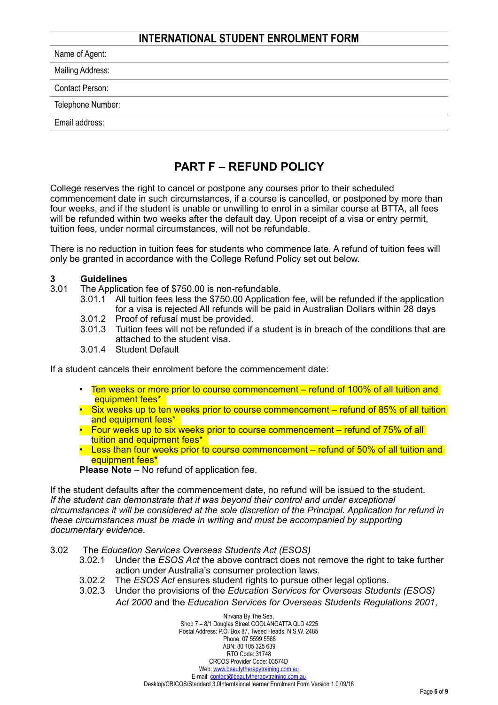| Name of Agent:         |  |  |
|------------------------|--|--|
| Mailing Address:       |  |  |
| <b>Contact Person:</b> |  |  |
| Telephone Number:      |  |  |
| Email address:         |  |  |
|                        |  |  |

## **PART F – REFUND POLICY**

College reserves the right to cancel or postpone any courses prior to their scheduled commencement date in such circumstances, if a course is cancelled, or postponed by more than four weeks, and if the student is unable or unwilling to enrol in a similar course at BTTA, all fees will be refunded within two weeks after the default day. Upon receipt of a visa or entry permit, tuition fees, under normal circumstances, will not be refundable.

There is no reduction in tuition fees for students who commence late. A refund of tuition fees will only be granted in accordance with the College Refund Policy set out below.

# **3 Guidelines**<br> **3.01** The Applica

- The Application fee of \$750.00 is non-refundable.
	- 3.01.1 All tuition fees less the \$750.00 Application fee, will be refunded if the application for a visa is rejected All refunds will be paid in Australian Dollars within 28 days
		- 3.01.2 Proof of refusal must be provided.
		- 3.01.3 Tuition fees will not be refunded if a student is in breach of the conditions that are attached to the student visa.
		- 3.01.4 Student Default

If a student cancels their enrolment before the commencement date:

- Ten weeks or more prior to course commencement refund of 100% of all tuition and equipment fees\*
- Six weeks up to ten weeks prior to course commencement refund of 85% of all tuition and equipment fees\*
- Four weeks up to six weeks prior to course commencement refund of 75% of all tuition and equipment fees\*
- Less than four weeks prior to course commencement refund of 50% of all tuition and equipment fees\*
- **Please Note** No refund of application fee.

If the student defaults after the commencement date, no refund will be issued to the student. *If the student can demonstrate that it was beyond their control and under exceptional circumstances it will be considered at the sole discretion of the Principal. Application for refund in these circumstances must be made in writing and must be accompanied by supporting documentary evidence.* 

- 3.02 The *Education Services Overseas Students Act (ESOS)* 
	- 3.02.1 Under the *ESOS Act* the above contract does not remove the right to take further action under Australia's consumer protection laws.
	- 3.02.2 The *ESOS Act* ensures student rights to pursue other legal options.
	- 3.02.3 Under the provisions of the *Education Services for Overseas Students (ESOS) Act 2000* and the *Education Services for Overseas Students Regulations 2001*,

Nirvana By The Sea, Shop 7 – 8/1 Douglas Street COOLANGATTA QLD 4225 Postal Address: P.O. Box 87, Tweed Heads, N.S.W. 2485 Phone: 07 5599 5568 ABN: 80 105 325 639 RTO Code: 31748 CRCOS Provider Code: 03574D Web: [www.beautytherapytraining.com.au](http://www.beautytherapytraining.com.au) E-mail: [contact@beautytherapytraining.com.au](mailto:contact@beautytherapytraining.com.au)  Desktop/CRICOS/Standard 3.0Interntaional learner Enrolment Form Version 1.0 09/16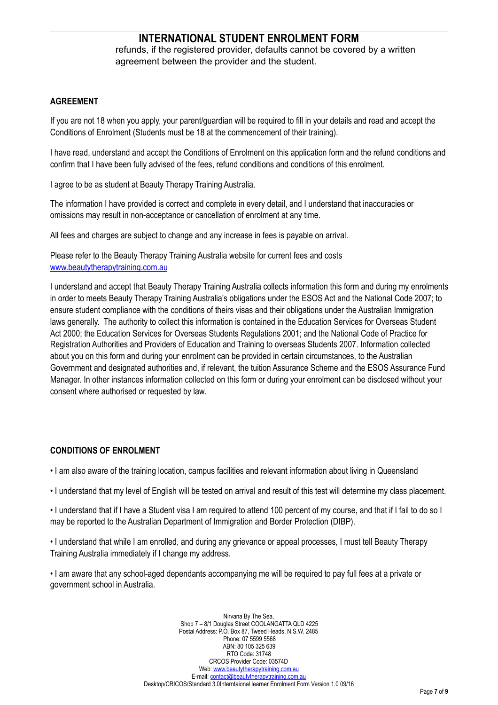refunds, if the registered provider, defaults cannot be covered by a written agreement between the provider and the student.

#### **AGREEMENT**

If you are not 18 when you apply, your parent/guardian will be required to fill in your details and read and accept the Conditions of Enrolment (Students must be 18 at the commencement of their training).

I have read, understand and accept the Conditions of Enrolment on this application form and the refund conditions and confirm that I have been fully advised of the fees, refund conditions and conditions of this enrolment.

I agree to be as student at Beauty Therapy Training Australia.

The information I have provided is correct and complete in every detail, and I understand that inaccuracies or omissions may result in non-acceptance or cancellation of enrolment at any time.

All fees and charges are subject to change and any increase in fees is payable on arrival.

Please refer to the Beauty Therapy Training Australia website for current fees and costs [www.beautytherapytraining.com.au](http://www.beautytherapytraining.com.au)

I understand and accept that Beauty Therapy Training Australia collects information this form and during my enrolments in order to meets Beauty Therapy Training Australia's obligations under the ESOS Act and the National Code 2007; to ensure student compliance with the conditions of theirs visas and their obligations under the Australian Immigration laws generally. The authority to collect this information is contained in the Education Services for Overseas Student Act 2000; the Education Services for Overseas Students Regulations 2001; and the National Code of Practice for Registration Authorities and Providers of Education and Training to overseas Students 2007. Information collected about you on this form and during your enrolment can be provided in certain circumstances, to the Australian Government and designated authorities and, if relevant, the tuition Assurance Scheme and the ESOS Assurance Fund Manager. In other instances information collected on this form or during your enrolment can be disclosed without your consent where authorised or requested by law.

#### **CONDITIONS OF ENROLMENT**

• I am also aware of the training location, campus facilities and relevant information about living in Queensland

• I understand that my level of English will be tested on arrival and result of this test will determine my class placement.

• I understand that if I have a Student visa I am required to attend 100 percent of my course, and that if I fail to do so I may be reported to the Australian Department of Immigration and Border Protection (DIBP).

• I understand that while I am enrolled, and during any grievance or appeal processes, I must tell Beauty Therapy Training Australia immediately if I change my address.

• I am aware that any school-aged dependants accompanying me will be required to pay full fees at a private or government school in Australia.

> Nirvana By The Sea, Shop 7 – 8/1 Douglas Street COOLANGATTA QLD 4225 Postal Address: P.O. Box 87, Tweed Heads, N.S.W. 2485 Phone: 07 5599 5568 ABN: 80 105 325 639 RTO Code: 31748 CRCOS Provider Code: 03574D Web: [www.beautytherapytraining.com.au](http://www.beautytherapytraining.com.au) E-mail: [contact@beautytherapytraining.com.au](mailto:contact@beautytherapytraining.com.au)  Desktop/CRICOS/Standard 3.0Interntaional learner Enrolment Form Version 1.0 09/16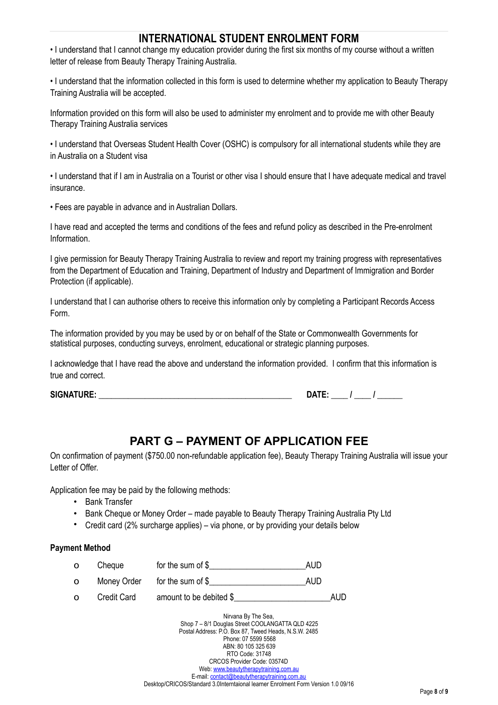• I understand that I cannot change my education provider during the first six months of my course without a written letter of release from Beauty Therapy Training Australia.

• I understand that the information collected in this form is used to determine whether my application to Beauty Therapy Training Australia will be accepted.

Information provided on this form will also be used to administer my enrolment and to provide me with other Beauty Therapy Training Australia services

• I understand that Overseas Student Health Cover (OSHC) is compulsory for all international students while they are in Australia on a Student visa

• I understand that if I am in Australia on a Tourist or other visa I should ensure that I have adequate medical and travel insurance.

• Fees are payable in advance and in Australian Dollars.

I have read and accepted the terms and conditions of the fees and refund policy as described in the Pre-enrolment Information.

I give permission for Beauty Therapy Training Australia to review and report my training progress with representatives from the Department of Education and Training, Department of Industry and Department of Immigration and Border Protection (if applicable).

I understand that I can authorise others to receive this information only by completing a Participant Records Access Form.

The information provided by you may be used by or on behalf of the State or Commonwealth Governments for statistical purposes, conducting surveys, enrolment, educational or strategic planning purposes.

I acknowledge that I have read the above and understand the information provided. I confirm that this information is true and correct.

**SIGNATURE: \_\_\_\_\_\_\_\_\_\_\_\_\_\_\_\_\_\_\_\_\_\_\_\_\_\_\_\_\_\_\_\_\_\_\_\_\_\_\_\_\_\_\_\_\_\_ DATE: \_\_\_\_ / \_\_\_\_ / \_\_\_\_\_\_** 

# **PART G – PAYMENT OF APPLICATION FEE**

On confirmation of payment (\$750.00 non-refundable application fee), Beauty Therapy Training Australia will issue your Letter of Offer.

Application fee may be paid by the following methods:

- Bank Transfer
- Bank Cheque or Money Order made payable to Beauty Therapy Training Australia Pty Ltd
- Credit card (2% surcharge applies) via phone, or by providing your details below

#### **Payment Method**

| O        | Cheque             | for the sum of $$$      | AUD  |
|----------|--------------------|-------------------------|------|
| $\circ$  | Money Order        | for the sum of \$       | AUD  |
| $\Omega$ | <b>Credit Card</b> | amount to be debited \$ | AUD. |

Nirvana By The Sea, Shop 7 – 8/1 Douglas Street COOLANGATTA QLD 4225 Postal Address: P.O. Box 87, Tweed Heads, N.S.W. 2485 Phone: 07 5599 5568 ABN: 80 105 325 639 RTO Code: 31748 CRCOS Provider Code: 03574D Web: [www.beautytherapytraining.com.au](http://www.beautytherapytraining.com.au) E-mail: [contact@beautytherapytraining.com.au](mailto:contact@beautytherapytraining.com.au)  Desktop/CRICOS/Standard 3.0Interntaional learner Enrolment Form Version 1.0 09/16